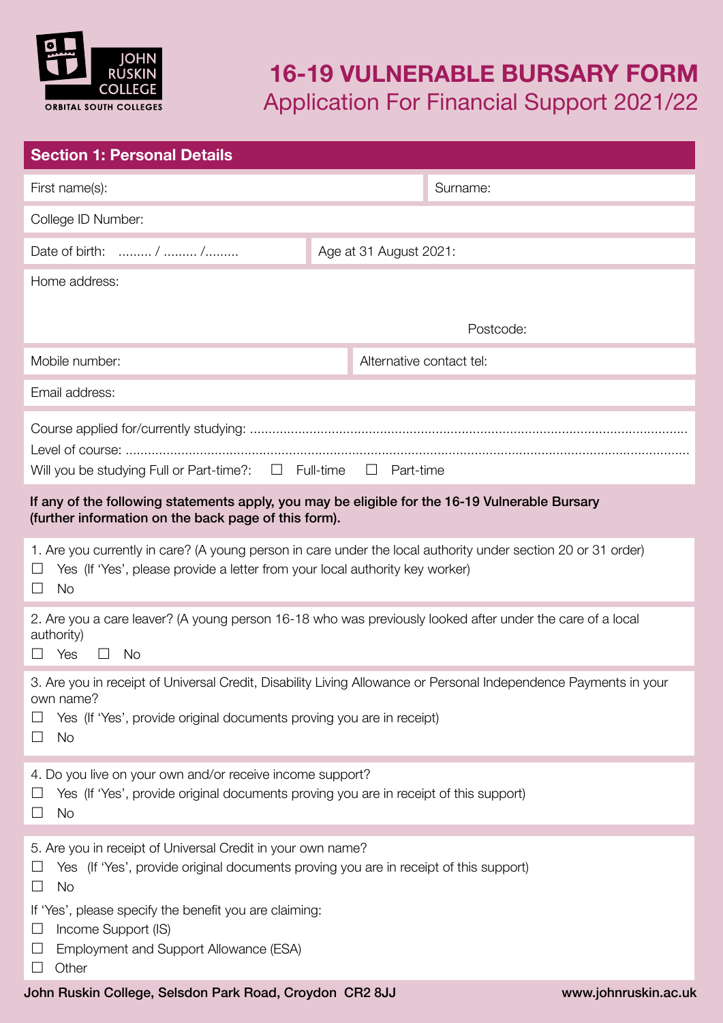

## **16-19 VULNERABLE BURSARY FORM** Application For Financial Support 2021/22

| <b>Section 1: Personal Details</b>                                                                                                                                                                                       |                          |                      |  |  |
|--------------------------------------------------------------------------------------------------------------------------------------------------------------------------------------------------------------------------|--------------------------|----------------------|--|--|
| First name(s):                                                                                                                                                                                                           |                          | Surname:             |  |  |
| College ID Number:                                                                                                                                                                                                       |                          |                      |  |  |
| Date of birth:  /  /                                                                                                                                                                                                     | Age at 31 August 2021:   |                      |  |  |
| Home address:                                                                                                                                                                                                            |                          |                      |  |  |
|                                                                                                                                                                                                                          |                          | Postcode:            |  |  |
| Mobile number:                                                                                                                                                                                                           | Alternative contact tel: |                      |  |  |
| Email address:                                                                                                                                                                                                           |                          |                      |  |  |
| Will you be studying Full or Part-time?: $\Box$ Full-time $\Box$ Part-time                                                                                                                                               |                          |                      |  |  |
| If any of the following statements apply, you may be eligible for the 16-19 Vulnerable Bursary<br>(further information on the back page of this form).                                                                   |                          |                      |  |  |
| 1. Are you currently in care? (A young person in care under the local authority under section 20 or 31 order)<br>Yes (If 'Yes', please provide a letter from your local authority key worker)<br>$\Box$<br><b>No</b>     |                          |                      |  |  |
| 2. Are you a care leaver? (A young person 16-18 who was previously looked after under the care of a local<br>authority)<br>$\Box$ Yes<br>$\Box$ No                                                                       |                          |                      |  |  |
| 3. Are you in receipt of Universal Credit, Disability Living Allowance or Personal Independence Payments in your<br>own name?<br>Yes (If 'Yes', provide original documents proving you are in receipt)<br><b>No</b><br>ப |                          |                      |  |  |
| 4. Do you live on your own and/or receive income support?<br>Yes (If 'Yes', provide original documents proving you are in receipt of this support)<br><b>No</b><br>$\Box$                                                |                          |                      |  |  |
| 5. Are you in receipt of Universal Credit in your own name?<br>Yes (If 'Yes', provide original documents proving you are in receipt of this support)<br><b>No</b><br>$\Box$                                              |                          |                      |  |  |
| If 'Yes', please specify the benefit you are claiming:<br>Income Support (IS)<br>ப<br>Employment and Support Allowance (ESA)                                                                                             |                          |                      |  |  |
| Other<br>John Ruskin College, Selsdon Park Road, Croydon CR2 8JJ                                                                                                                                                         |                          | www.johnruskin.ac.uk |  |  |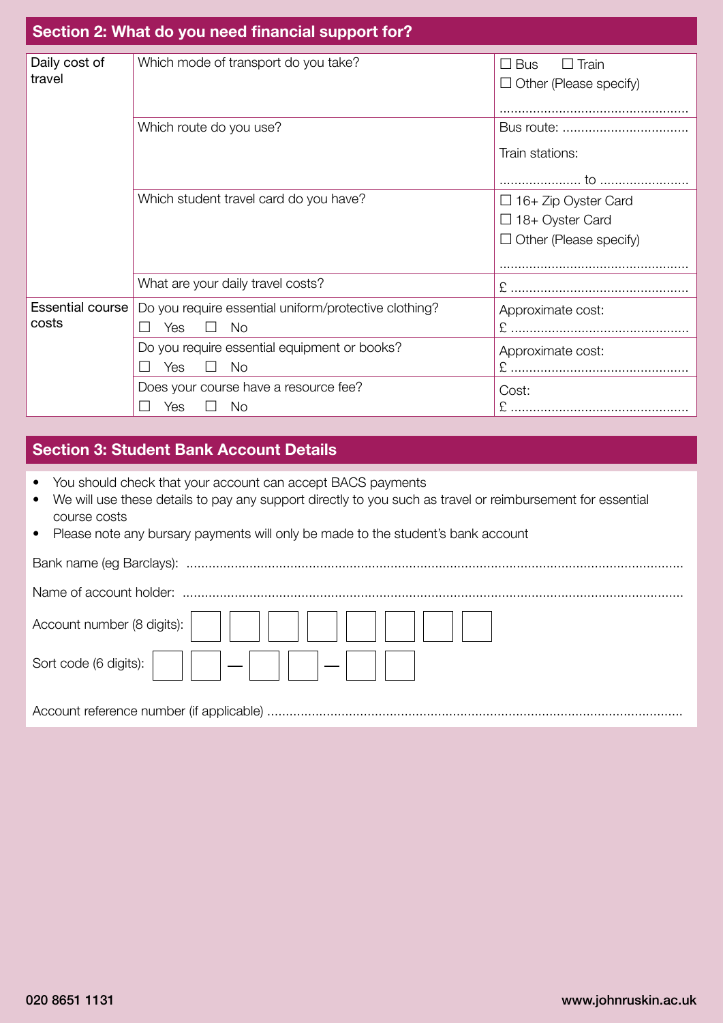| Section 2: What do you need financial support for? |                                                                                           |                                                                                       |  |
|----------------------------------------------------|-------------------------------------------------------------------------------------------|---------------------------------------------------------------------------------------|--|
| Daily cost of<br>travel                            | Which mode of transport do you take?                                                      | $\Box$ Bus<br>$\Box$ Train<br>$\Box$ Other (Please specify)                           |  |
|                                                    | Which route do you use?                                                                   | Train stations:                                                                       |  |
|                                                    | Which student travel card do you have?                                                    | $\Box$ 16+ Zip Oyster Card<br>$\Box$ 18+ Oyster Card<br>$\Box$ Other (Please specify) |  |
|                                                    | What are your daily travel costs?                                                         |                                                                                       |  |
| Essential course<br>costs                          | Do you require essential uniform/protective clothing?<br><b>No</b><br>Yes<br>$\mathsf{I}$ | Approximate cost:                                                                     |  |
|                                                    | Do you require essential equipment or books?<br><b>No</b><br>Yes                          | Approximate cost:                                                                     |  |
|                                                    | Does your course have a resource fee?<br>Yes<br>No                                        | Cost:                                                                                 |  |

### **Section 3: Student Bank Account Details**

- You should check that your account can accept BACS payments
- We will use these details to pay any support directly to you such as travel or reimbursement for essential course costs
- Please note any bursary payments will only be made to the student's bank account

| Account number (8 digits):         |
|------------------------------------|
| Sort code (6 digits): $\Big \Big $ |
|                                    |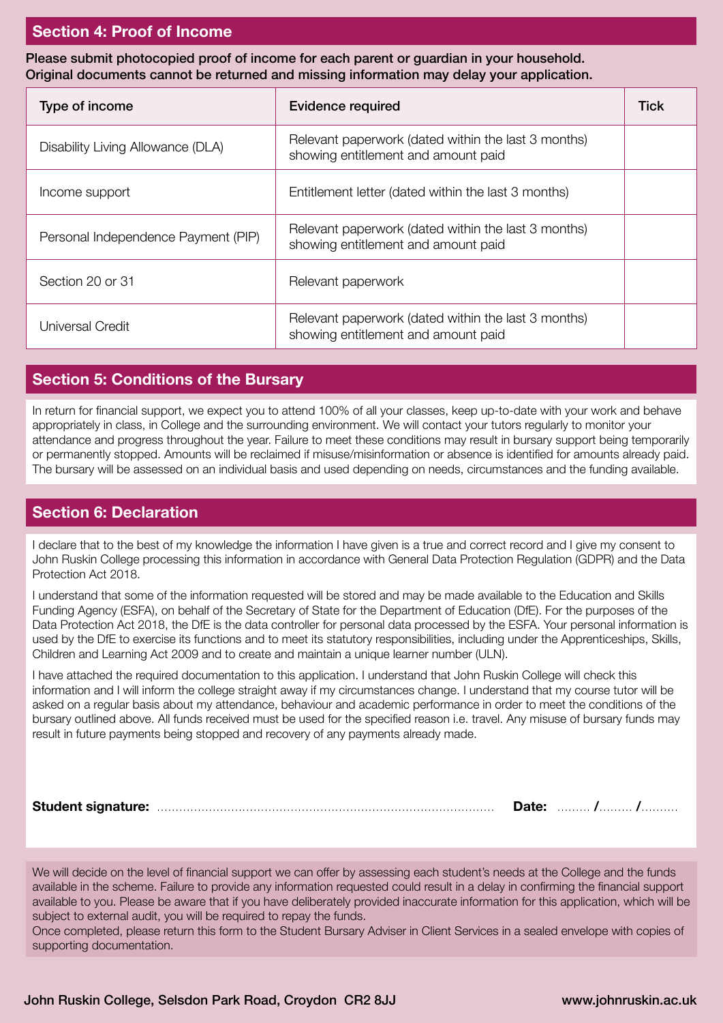#### **Section 4: Proof of Income**

Please submit photocopied proof of income for each parent or guardian in your household. Original documents cannot be returned and missing information may delay your application.

| Type of income                      | <b>Evidence required</b>                                                                   | Tick |
|-------------------------------------|--------------------------------------------------------------------------------------------|------|
| Disability Living Allowance (DLA)   | Relevant paperwork (dated within the last 3 months)<br>showing entitlement and amount paid |      |
| Income support                      | Entitlement letter (dated within the last 3 months)                                        |      |
| Personal Independence Payment (PIP) | Relevant paperwork (dated within the last 3 months)<br>showing entitlement and amount paid |      |
| Section 20 or 31                    | Relevant paperwork                                                                         |      |
| Universal Credit                    | Relevant paperwork (dated within the last 3 months)<br>showing entitlement and amount paid |      |

#### **Section 5: Conditions of the Bursary**

In return for financial support, we expect you to attend 100% of all your classes, keep up-to-date with your work and behave appropriately in class, in College and the surrounding environment. We will contact your tutors regularly to monitor your attendance and progress throughout the year. Failure to meet these conditions may result in bursary support being temporarily or permanently stopped. Amounts will be reclaimed if misuse/misinformation or absence is identified for amounts already paid. The bursary will be assessed on an individual basis and used depending on needs, circumstances and the funding available.

#### **Section 6: Declaration**

I declare that to the best of my knowledge the information I have given is a true and correct record and I give my consent to John Ruskin College processing this information in accordance with General Data Protection Regulation (GDPR) and the Data Protection Act 2018.

I understand that some of the information requested will be stored and may be made available to the Education and Skills Funding Agency (ESFA), on behalf of the Secretary of State for the Department of Education (DfE). For the purposes of the Data Protection Act 2018, the DfE is the data controller for personal data processed by the ESFA. Your personal information is used by the DfE to exercise its functions and to meet its statutory responsibilities, including under the Apprenticeships, Skills, Children and Learning Act 2009 and to create and maintain a unique learner number (ULN).

I have attached the required documentation to this application. I understand that John Ruskin College will check this information and I will inform the college straight away if my circumstances change. I understand that my course tutor will be asked on a regular basis about my attendance, behaviour and academic performance in order to meet the conditions of the bursary outlined above. All funds received must be used for the specified reason i.e. travel. Any misuse of bursary funds may result in future payments being stopped and recovery of any payments already made.

| <b>Student signature:</b> | Dalc. |  |
|---------------------------|-------|--|

We will decide on the level of financial support we can offer by assessing each student's needs at the College and the funds available in the scheme. Failure to provide any information requested could result in a delay in confirming the financial support available to you. Please be aware that if you have deliberately provided inaccurate information for this application, which will be subject to external audit, you will be required to repay the funds.

Once completed, please return this form to the Student Bursary Adviser in Client Services in a sealed envelope with copies of supporting documentation.